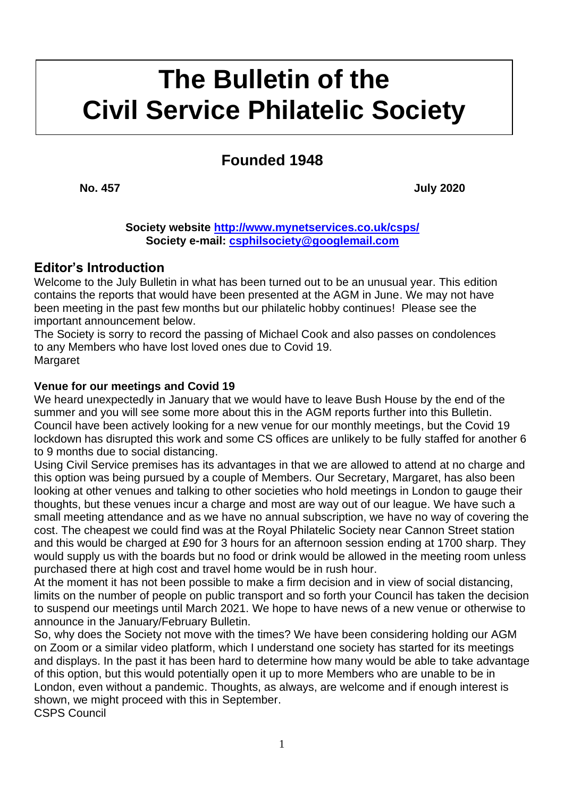# **kkkk The Bulletin of the Civil Service Philatelic Society**

## **Founded 1948**

**No. 457 July 2020**

**Society website<http://www.mynetservices.co.uk/csps/> Society e-mail: [csphilsociety@googlemail.com](mailto:csphilsociety@googlemail.com)**

## **Editor's Introduction**

Welcome to the July Bulletin in what has been turned out to be an unusual year. This edition contains the reports that would have been presented at the AGM in June. We may not have been meeting in the past few months but our philatelic hobby continues! Please see the important announcement below.

The Society is sorry to record the passing of Michael Cook and also passes on condolences to any Members who have lost loved ones due to Covid 19. **Margaret** 

#### **Venue for our meetings and Covid 19**

We heard unexpectedly in January that we would have to leave Bush House by the end of the summer and you will see some more about this in the AGM reports further into this Bulletin. Council have been actively looking for a new venue for our monthly meetings, but the Covid 19 lockdown has disrupted this work and some CS offices are unlikely to be fully staffed for another 6 to 9 months due to social distancing.

Using Civil Service premises has its advantages in that we are allowed to attend at no charge and this option was being pursued by a couple of Members. Our Secretary, Margaret, has also been looking at other venues and talking to other societies who hold meetings in London to gauge their thoughts, but these venues incur a charge and most are way out of our league. We have such a small meeting attendance and as we have no annual subscription, we have no way of covering the cost. The cheapest we could find was at the Royal Philatelic Society near Cannon Street station and this would be charged at £90 for 3 hours for an afternoon session ending at 1700 sharp. They would supply us with the boards but no food or drink would be allowed in the meeting room unless purchased there at high cost and travel home would be in rush hour.

At the moment it has not been possible to make a firm decision and in view of social distancing, limits on the number of people on public transport and so forth your Council has taken the decision to suspend our meetings until March 2021. We hope to have news of a new venue or otherwise to announce in the January/February Bulletin.

So, why does the Society not move with the times? We have been considering holding our AGM on Zoom or a similar video platform, which I understand one society has started for its meetings and displays. In the past it has been hard to determine how many would be able to take advantage of this option, but this would potentially open it up to more Members who are unable to be in London, even without a pandemic. Thoughts, as always, are welcome and if enough interest is shown, we might proceed with this in September. CSPS Council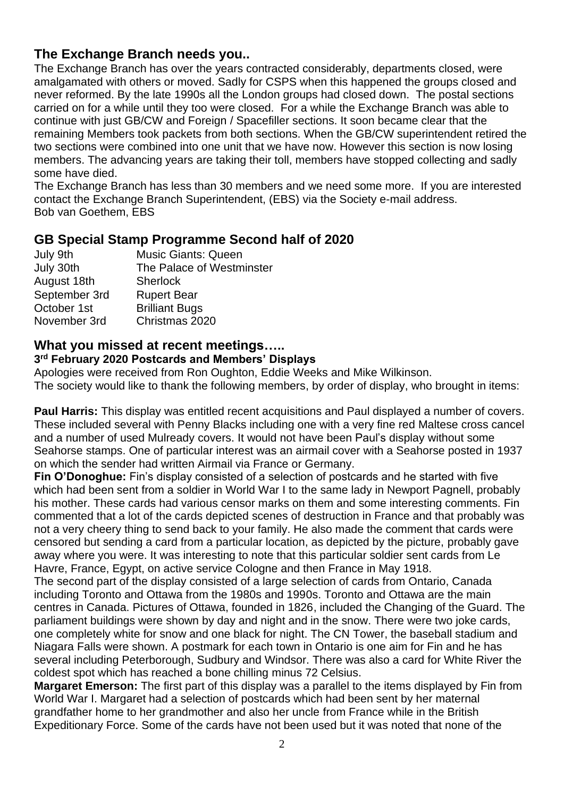## **The Exchange Branch needs you..**

The Exchange Branch has over the years contracted considerably, departments closed, were amalgamated with others or moved. Sadly for CSPS when this happened the groups closed and never reformed. By the late 1990s all the London groups had closed down. The postal sections carried on for a while until they too were closed. For a while the Exchange Branch was able to continue with just GB/CW and Foreign / Spacefiller sections. It soon became clear that the remaining Members took packets from both sections. When the GB/CW superintendent retired the two sections were combined into one unit that we have now. However this section is now losing members. The advancing years are taking their toll, members have stopped collecting and sadly some have died.

The Exchange Branch has less than 30 members and we need some more. If you are interested contact the Exchange Branch Superintendent, (EBS) via the Society e-mail address. Bob van Goethem, EBS

## **GB Special Stamp Programme Second half of 2020**

| July 9th      | <b>Music Giants: Queen</b> |
|---------------|----------------------------|
| July 30th     | The Palace of Westminster  |
| August 18th   | <b>Sherlock</b>            |
| September 3rd | <b>Rupert Bear</b>         |
| October 1st   | <b>Brilliant Bugs</b>      |
| November 3rd  | Christmas 2020             |

## **What you missed at recent meetings…..**

#### **3 rd February 2020 Postcards and Members' Displays**

Apologies were received from Ron Oughton, Eddie Weeks and Mike Wilkinson. The society would like to thank the following members, by order of display, who brought in items:

**Paul Harris:** This display was entitled recent acquisitions and Paul displayed a number of covers. These included several with Penny Blacks including one with a very fine red Maltese cross cancel and a number of used Mulready covers. It would not have been Paul's display without some Seahorse stamps. One of particular interest was an airmail cover with a Seahorse posted in 1937 on which the sender had written Airmail via France or Germany.

**Fin O'Donoghue:** Fin's display consisted of a selection of postcards and he started with five which had been sent from a soldier in World War I to the same lady in Newport Pagnell, probably his mother. These cards had various censor marks on them and some interesting comments. Fin commented that a lot of the cards depicted scenes of destruction in France and that probably was not a very cheery thing to send back to your family. He also made the comment that cards were censored but sending a card from a particular location, as depicted by the picture, probably gave away where you were. It was interesting to note that this particular soldier sent cards from Le Havre, France, Egypt, on active service Cologne and then France in May 1918.

The second part of the display consisted of a large selection of cards from Ontario, Canada including Toronto and Ottawa from the 1980s and 1990s. Toronto and Ottawa are the main centres in Canada. Pictures of Ottawa, founded in 1826, included the Changing of the Guard. The parliament buildings were shown by day and night and in the snow. There were two joke cards, one completely white for snow and one black for night. The CN Tower, the baseball stadium and Niagara Falls were shown. A postmark for each town in Ontario is one aim for Fin and he has several including Peterborough, Sudbury and Windsor. There was also a card for White River the coldest spot which has reached a bone chilling minus 72 Celsius.

**Margaret Emerson:** The first part of this display was a parallel to the items displayed by Fin from World War I. Margaret had a selection of postcards which had been sent by her maternal grandfather home to her grandmother and also her uncle from France while in the British Expeditionary Force. Some of the cards have not been used but it was noted that none of the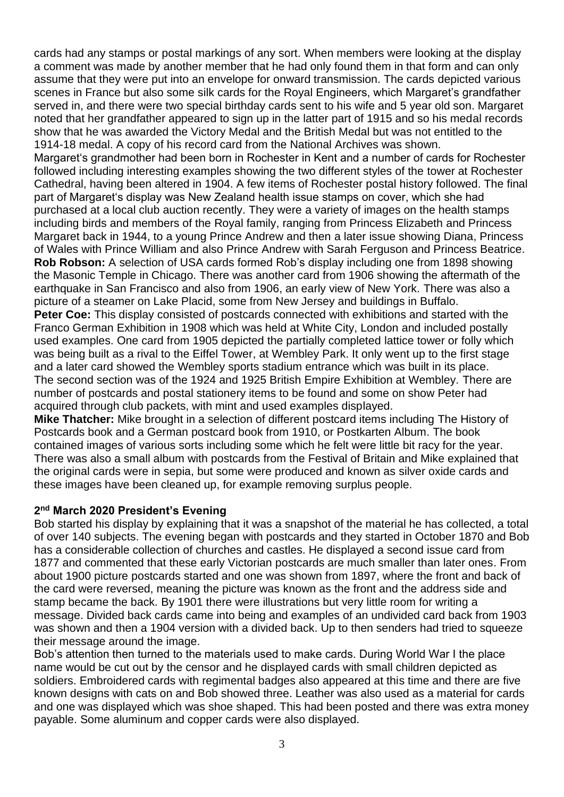cards had any stamps or postal markings of any sort. When members were looking at the display a comment was made by another member that he had only found them in that form and can only assume that they were put into an envelope for onward transmission. The cards depicted various scenes in France but also some silk cards for the Royal Engineers, which Margaret's grandfather served in, and there were two special birthday cards sent to his wife and 5 year old son. Margaret noted that her grandfather appeared to sign up in the latter part of 1915 and so his medal records show that he was awarded the Victory Medal and the British Medal but was not entitled to the 1914-18 medal. A copy of his record card from the National Archives was shown.

Margaret's grandmother had been born in Rochester in Kent and a number of cards for Rochester followed including interesting examples showing the two different styles of the tower at Rochester Cathedral, having been altered in 1904. A few items of Rochester postal history followed. The final part of Margaret's display was New Zealand health issue stamps on cover, which she had purchased at a local club auction recently. They were a variety of images on the health stamps including birds and members of the Royal family, ranging from Princess Elizabeth and Princess Margaret back in 1944, to a young Prince Andrew and then a later issue showing Diana, Princess of Wales with Prince William and also Prince Andrew with Sarah Ferguson and Princess Beatrice. **Rob Robson:** A selection of USA cards formed Rob's display including one from 1898 showing the Masonic Temple in Chicago. There was another card from 1906 showing the aftermath of the earthquake in San Francisco and also from 1906, an early view of New York. There was also a picture of a steamer on Lake Placid, some from New Jersey and buildings in Buffalo.

**Peter Coe:** This display consisted of postcards connected with exhibitions and started with the Franco German Exhibition in 1908 which was held at White City, London and included postally used examples. One card from 1905 depicted the partially completed lattice tower or folly which was being built as a rival to the Eiffel Tower, at Wembley Park. It only went up to the first stage and a later card showed the Wembley sports stadium entrance which was built in its place. The second section was of the 1924 and 1925 British Empire Exhibition at Wembley. There are number of postcards and postal stationery items to be found and some on show Peter had acquired through club packets, with mint and used examples displayed.

**Mike Thatcher:** Mike brought in a selection of different postcard items including The History of Postcards book and a German postcard book from 1910, or Postkarten Album. The book contained images of various sorts including some which he felt were little bit racy for the year. There was also a small album with postcards from the Festival of Britain and Mike explained that the original cards were in sepia, but some were produced and known as silver oxide cards and these images have been cleaned up, for example removing surplus people.

#### **2 nd March 2020 President's Evening**

Bob started his display by explaining that it was a snapshot of the material he has collected, a total of over 140 subjects. The evening began with postcards and they started in October 1870 and Bob has a considerable collection of churches and castles. He displayed a second issue card from 1877 and commented that these early Victorian postcards are much smaller than later ones. From about 1900 picture postcards started and one was shown from 1897, where the front and back of the card were reversed, meaning the picture was known as the front and the address side and stamp became the back. By 1901 there were illustrations but very little room for writing a message. Divided back cards came into being and examples of an undivided card back from 1903 was shown and then a 1904 version with a divided back. Up to then senders had tried to squeeze their message around the image.

Bob's attention then turned to the materials used to make cards. During World War I the place name would be cut out by the censor and he displayed cards with small children depicted as soldiers. Embroidered cards with regimental badges also appeared at this time and there are five known designs with cats on and Bob showed three. Leather was also used as a material for cards and one was displayed which was shoe shaped. This had been posted and there was extra money payable. Some aluminum and copper cards were also displayed.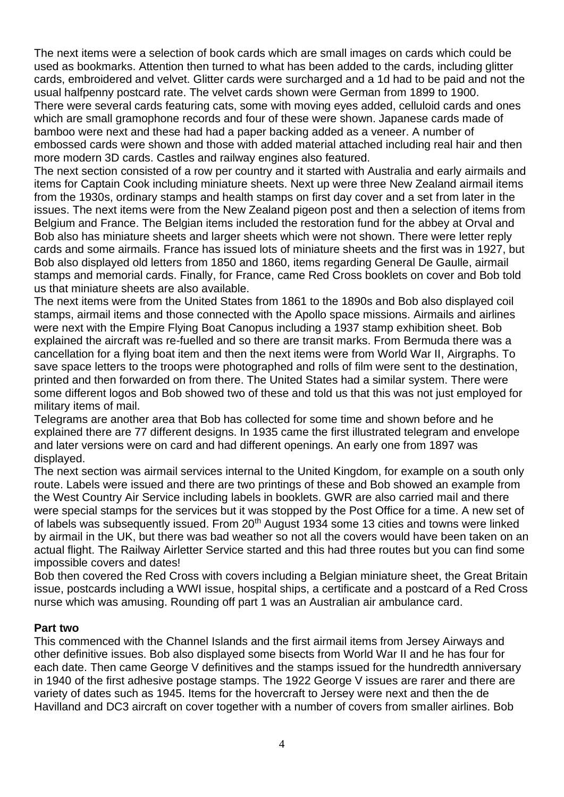The next items were a selection of book cards which are small images on cards which could be used as bookmarks. Attention then turned to what has been added to the cards, including glitter cards, embroidered and velvet. Glitter cards were surcharged and a 1d had to be paid and not the usual halfpenny postcard rate. The velvet cards shown were German from 1899 to 1900. There were several cards featuring cats, some with moving eyes added, celluloid cards and ones which are small gramophone records and four of these were shown. Japanese cards made of bamboo were next and these had had a paper backing added as a veneer. A number of embossed cards were shown and those with added material attached including real hair and then more modern 3D cards. Castles and railway engines also featured.

The next section consisted of a row per country and it started with Australia and early airmails and items for Captain Cook including miniature sheets. Next up were three New Zealand airmail items from the 1930s, ordinary stamps and health stamps on first day cover and a set from later in the issues. The next items were from the New Zealand pigeon post and then a selection of items from Belgium and France. The Belgian items included the restoration fund for the abbey at Orval and Bob also has miniature sheets and larger sheets which were not shown. There were letter reply cards and some airmails. France has issued lots of miniature sheets and the first was in 1927, but Bob also displayed old letters from 1850 and 1860, items regarding General De Gaulle, airmail stamps and memorial cards. Finally, for France, came Red Cross booklets on cover and Bob told us that miniature sheets are also available.

The next items were from the United States from 1861 to the 1890s and Bob also displayed coil stamps, airmail items and those connected with the Apollo space missions. Airmails and airlines were next with the Empire Flying Boat Canopus including a 1937 stamp exhibition sheet. Bob explained the aircraft was re-fuelled and so there are transit marks. From Bermuda there was a cancellation for a flying boat item and then the next items were from World War II, Airgraphs. To save space letters to the troops were photographed and rolls of film were sent to the destination, printed and then forwarded on from there. The United States had a similar system. There were some different logos and Bob showed two of these and told us that this was not just employed for military items of mail.

Telegrams are another area that Bob has collected for some time and shown before and he explained there are 77 different designs. In 1935 came the first illustrated telegram and envelope and later versions were on card and had different openings. An early one from 1897 was displayed.

The next section was airmail services internal to the United Kingdom, for example on a south only route. Labels were issued and there are two printings of these and Bob showed an example from the West Country Air Service including labels in booklets. GWR are also carried mail and there were special stamps for the services but it was stopped by the Post Office for a time. A new set of of labels was subsequently issued. From 20<sup>th</sup> August 1934 some 13 cities and towns were linked by airmail in the UK, but there was bad weather so not all the covers would have been taken on an actual flight. The Railway Airletter Service started and this had three routes but you can find some impossible covers and dates!

Bob then covered the Red Cross with covers including a Belgian miniature sheet, the Great Britain issue, postcards including a WWI issue, hospital ships, a certificate and a postcard of a Red Cross nurse which was amusing. Rounding off part 1 was an Australian air ambulance card.

#### **Part two**

This commenced with the Channel Islands and the first airmail items from Jersey Airways and other definitive issues. Bob also displayed some bisects from World War II and he has four for each date. Then came George V definitives and the stamps issued for the hundredth anniversary in 1940 of the first adhesive postage stamps. The 1922 George V issues are rarer and there are variety of dates such as 1945. Items for the hovercraft to Jersey were next and then the de Havilland and DC3 aircraft on cover together with a number of covers from smaller airlines. Bob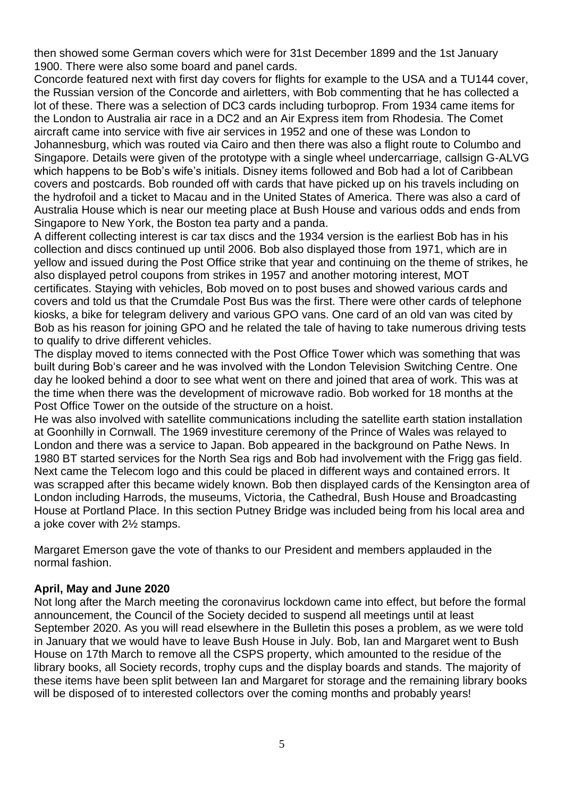then showed some German covers which were for 31st December 1899 and the 1st January 1900. There were also some board and panel cards.

Concorde featured next with first day covers for flights for example to the USA and a TU144 cover, the Russian version of the Concorde and airletters, with Bob commenting that he has collected a lot of these. There was a selection of DC3 cards including turboprop. From 1934 came items for the London to Australia air race in a DC2 and an Air Express item from Rhodesia. The Comet aircraft came into service with five air services in 1952 and one of these was London to Johannesburg, which was routed via Cairo and then there was also a flight route to Columbo and Singapore. Details were given of the prototype with a single wheel undercarriage, callsign G-ALVG which happens to be Bob's wife's initials. Disney items followed and Bob had a lot of Caribbean covers and postcards. Bob rounded off with cards that have picked up on his travels including on the hydrofoil and a ticket to Macau and in the United States of America. There was also a card of Australia House which is near our meeting place at Bush House and various odds and ends from Singapore to New York, the Boston tea party and a panda.

A different collecting interest is car tax discs and the 1934 version is the earliest Bob has in his collection and discs continued up until 2006. Bob also displayed those from 1971, which are in yellow and issued during the Post Office strike that year and continuing on the theme of strikes, he also displayed petrol coupons from strikes in 1957 and another motoring interest, MOT certificates. Staying with vehicles, Bob moved on to post buses and showed various cards and covers and told us that the Crumdale Post Bus was the first. There were other cards of telephone kiosks, a bike for telegram delivery and various GPO vans. One card of an old van was cited by Bob as his reason for joining GPO and he related the tale of having to take numerous driving tests to qualify to drive different vehicles.

The display moved to items connected with the Post Office Tower which was something that was built during Bob's career and he was involved with the London Television Switching Centre. One day he looked behind a door to see what went on there and joined that area of work. This was at the time when there was the development of microwave radio. Bob worked for 18 months at the Post Office Tower on the outside of the structure on a hoist.

He was also involved with satellite communications including the satellite earth station installation at Goonhilly in Cornwall. The 1969 investiture ceremony of the Prince of Wales was relayed to London and there was a service to Japan. Bob appeared in the background on Pathe News. In 1980 BT started services for the North Sea rigs and Bob had involvement with the Frigg gas field. Next came the Telecom logo and this could be placed in different ways and contained errors. It was scrapped after this became widely known. Bob then displayed cards of the Kensington area of London including Harrods, the museums, Victoria, the Cathedral, Bush House and Broadcasting House at Portland Place. In this section Putney Bridge was included being from his local area and a joke cover with 2½ stamps.

Margaret Emerson gave the vote of thanks to our President and members applauded in the normal fashion.

#### **April, May and June 2020**

Not long after the March meeting the coronavirus lockdown came into effect, but before the formal announcement, the Council of the Society decided to suspend all meetings until at least September 2020. As you will read elsewhere in the Bulletin this poses a problem, as we were told in January that we would have to leave Bush House in July. Bob, Ian and Margaret went to Bush House on 17th March to remove all the CSPS property, which amounted to the residue of the library books, all Society records, trophy cups and the display boards and stands. The majority of these items have been split between Ian and Margaret for storage and the remaining library books will be disposed of to interested collectors over the coming months and probably years!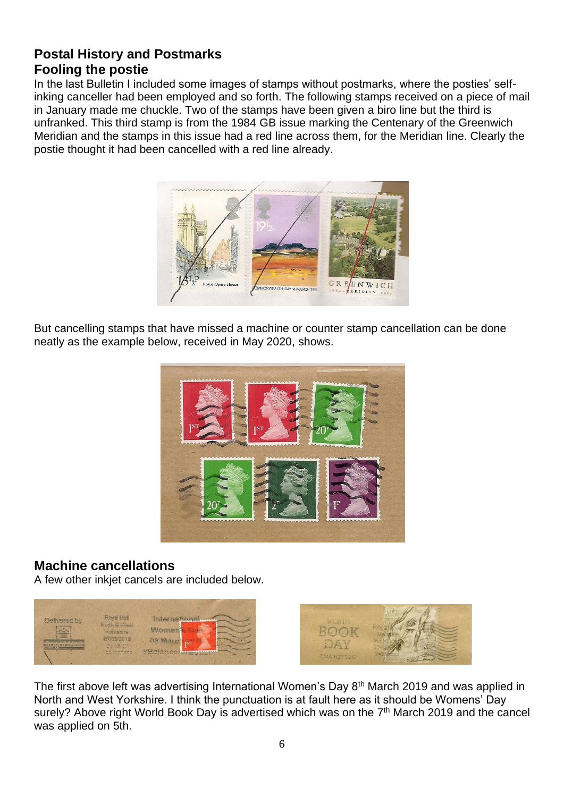## **Postal History and Postmarks Fooling the postie**

In the last Bulletin I included some images of stamps without postmarks, where the posties' selfinking canceller had been employed and so forth. The following stamps received on a piece of mail in January made me chuckle. Two of the stamps have been given a biro line but the third is unfranked. This third stamp is from the 1984 GB issue marking the Centenary of the Greenwich Meridian and the stamps in this issue had a red line across them, for the Meridian line. Clearly the postie thought it had been cancelled with a red line already.



But cancelling stamps that have missed a machine or counter stamp cancellation can be done neatly as the example below, received in May 2020, shows.



## **Machine cancellations**

A few other inkjet cancels are included below.





The first above left was advertising International Women's Day 8<sup>th</sup> March 2019 and was applied in North and West Yorkshire. I think the punctuation is at fault here as it should be Womens' Day surely? Above right World Book Day is advertised which was on the 7<sup>th</sup> March 2019 and the cancel was applied on 5th.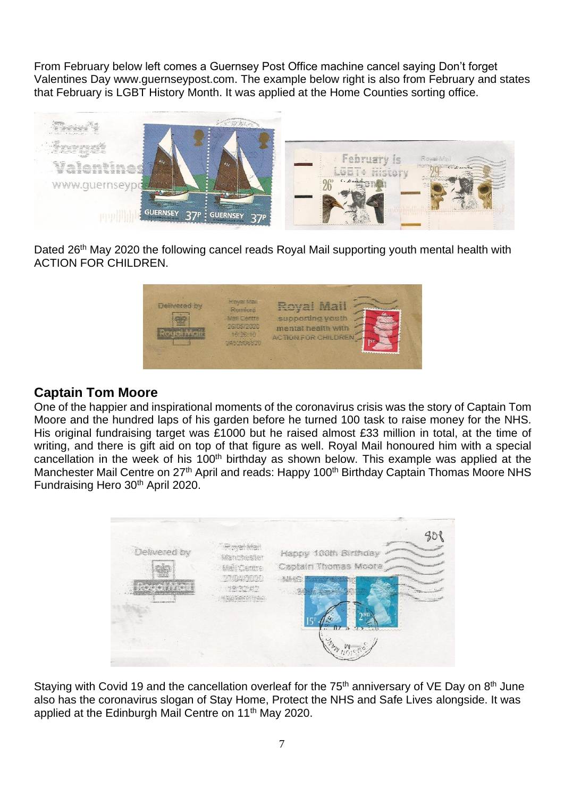From February below left comes a Guernsey Post Office machine cancel saying Don't forget Valentines Day [www.guernseypost.com.](http://www.guernseypost.com/) The example below right is also from February and states that February is LGBT History Month. It was applied at the Home Counties sorting office.



Dated 26<sup>th</sup> May 2020 the following cancel reads Royal Mail supporting youth mental health with ACTION FOR CHILDREN.



## **Captain Tom Moore**

One of the happier and inspirational moments of the coronavirus crisis was the story of Captain Tom Moore and the hundred laps of his garden before he turned 100 task to raise money for the NHS. His original fundraising target was £1000 but he raised almost £33 million in total, at the time of writing, and there is gift aid on top of that figure as well. Royal Mail honoured him with a special cancellation in the week of his 100<sup>th</sup> birthday as shown below. This example was applied at the Manchester Mail Centre on 27<sup>th</sup> April and reads: Happy 100<sup>th</sup> Birthday Captain Thomas Moore NHS Fundraising Hero 30<sup>th</sup> April 2020.

| Delivered by<br>a statement of the AM and the North States | Proget Wales<br><b>Manufactuer</b><br><b>Mail Canive</b><br>TANGARING O<br>Samuel Andrew Conservation | Happy 100th Birthday<br>Captain Thomas Moora<br>多集の<br><b>M. Changinaki</b> |  |
|------------------------------------------------------------|-------------------------------------------------------------------------------------------------------|-----------------------------------------------------------------------------|--|
|                                                            |                                                                                                       |                                                                             |  |

Staying with Covid 19 and the cancellation overleaf for the  $75<sup>th</sup>$  anniversary of VE Day on  $8<sup>th</sup>$  June also has the coronavirus slogan of Stay Home, Protect the NHS and Safe Lives alongside. It was applied at the Edinburgh Mail Centre on 11<sup>th</sup> May 2020.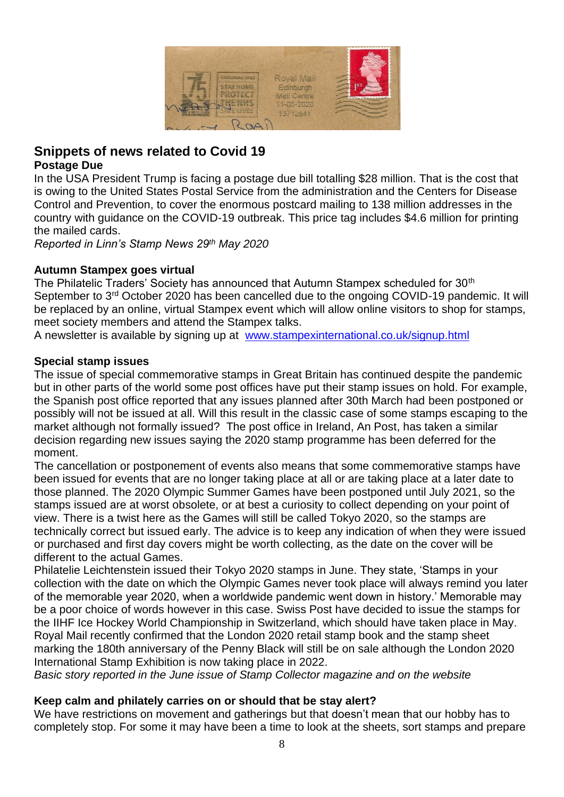

## **Snippets of news related to Covid 19 Postage Due**

In the USA President Trump is facing a postage due bill totalling \$28 million. That is the cost that is owing to the United States Postal Service from the administration and the Centers for Disease Control and Prevention, to cover the enormous postcard mailing to 138 million addresses in the country with guidance on the COVID-19 outbreak. This price tag includes \$4.6 million for printing the mailed cards.

*Reported in Linn's Stamp News 29th May 2020*

#### **Autumn Stampex goes virtual**

The Philatelic Traders' Society has announced that Autumn Stampex scheduled for 30<sup>th</sup> September to 3<sup>rd</sup> October 2020 has been cancelled due to the ongoing COVID-19 pandemic. It will be replaced by an online, virtual Stampex event which will allow online visitors to shop for stamps, meet society members and attend the Stampex talks.

A newsletter is available by signing up at [www.stampexinternational.co.uk/signup.html](http://www.stampexinternational.co.uk/signup.html)

#### **Special stamp issues**

The issue of special commemorative stamps in Great Britain has continued despite the pandemic but in other parts of the world some post offices have put their stamp issues on hold. For example, the Spanish post office reported that any issues planned after 30th March had been postponed or possibly will not be issued at all. Will this result in the classic case of some stamps escaping to the market although not formally issued? The post office in Ireland, An Post, has taken a similar decision regarding new issues saying the 2020 stamp programme has been deferred for the moment.

The cancellation or postponement of events also means that some commemorative stamps have been issued for events that are no longer taking place at all or are taking place at a later date to those planned. The 2020 Olympic Summer Games have been postponed until July 2021, so the stamps issued are at worst obsolete, or at best a curiosity to collect depending on your point of view. There is a twist here as the Games will still be called Tokyo 2020, so the stamps are technically correct but issued early. The advice is to keep any indication of when they were issued or purchased and first day covers might be worth collecting, as the date on the cover will be different to the actual Games.

Philatelie Leichtenstein issued their Tokyo 2020 stamps in June. They state, 'Stamps in your collection with the date on which the Olympic Games never took place will always remind you later of the memorable year 2020, when a worldwide pandemic went down in history.' Memorable may be a poor choice of words however in this case. Swiss Post have decided to issue the stamps for the IIHF Ice Hockey World Championship in Switzerland, which should have taken place in May. Royal Mail recently confirmed that the London 2020 retail stamp book and the stamp sheet marking the 180th anniversary of the Penny Black will still be on sale although the London 2020 International Stamp Exhibition is now taking place in 2022.

*Basic story reported in the June issue of Stamp Collector magazine and on the website*

#### **Keep calm and philately carries on or should that be stay alert?**

We have restrictions on movement and gatherings but that doesn't mean that our hobby has to completely stop. For some it may have been a time to look at the sheets, sort stamps and prepare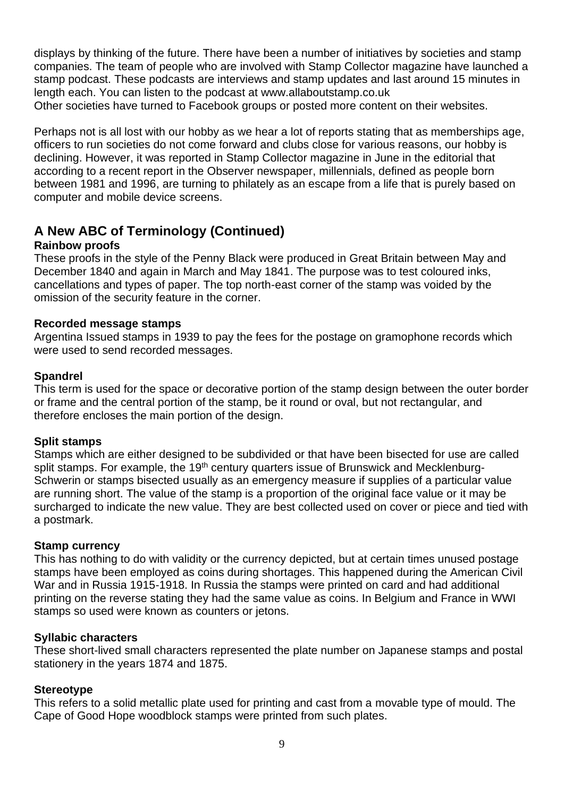displays by thinking of the future. There have been a number of initiatives by societies and stamp companies. The team of people who are involved with Stamp Collector magazine have launched a stamp podcast. These podcasts are interviews and stamp updates and last around 15 minutes in length each. You can listen to the podcast at [www.allaboutstamp.co.uk](http://www.allaboutstamp.co.uk/) Other societies have turned to Facebook groups or posted more content on their websites.

Perhaps not is all lost with our hobby as we hear a lot of reports stating that as memberships age, officers to run societies do not come forward and clubs close for various reasons, our hobby is declining. However, it was reported in Stamp Collector magazine in June in the editorial that according to a recent report in the Observer newspaper, millennials, defined as people born between 1981 and 1996, are turning to philately as an escape from a life that is purely based on computer and mobile device screens.

## **A New ABC of Terminology (Continued)**

## **Rainbow proofs**

These proofs in the style of the Penny Black were produced in Great Britain between May and December 1840 and again in March and May 1841. The purpose was to test coloured inks, cancellations and types of paper. The top north-east corner of the stamp was voided by the omission of the security feature in the corner.

## **Recorded message stamps**

Argentina Issued stamps in 1939 to pay the fees for the postage on gramophone records which were used to send recorded messages.

## **Spandrel**

This term is used for the space or decorative portion of the stamp design between the outer border or frame and the central portion of the stamp, be it round or oval, but not rectangular, and therefore encloses the main portion of the design.

#### **Split stamps**

Stamps which are either designed to be subdivided or that have been bisected for use are called split stamps. For example, the 19<sup>th</sup> century quarters issue of Brunswick and Mecklenburg-Schwerin or stamps bisected usually as an emergency measure if supplies of a particular value are running short. The value of the stamp is a proportion of the original face value or it may be surcharged to indicate the new value. They are best collected used on cover or piece and tied with a postmark.

#### **Stamp currency**

This has nothing to do with validity or the currency depicted, but at certain times unused postage stamps have been employed as coins during shortages. This happened during the American Civil War and in Russia 1915-1918. In Russia the stamps were printed on card and had additional printing on the reverse stating they had the same value as coins. In Belgium and France in WWI stamps so used were known as counters or jetons.

## **Syllabic characters**

These short-lived small characters represented the plate number on Japanese stamps and postal stationery in the years 1874 and 1875.

## **Stereotype**

This refers to a solid metallic plate used for printing and cast from a movable type of mould. The Cape of Good Hope woodblock stamps were printed from such plates.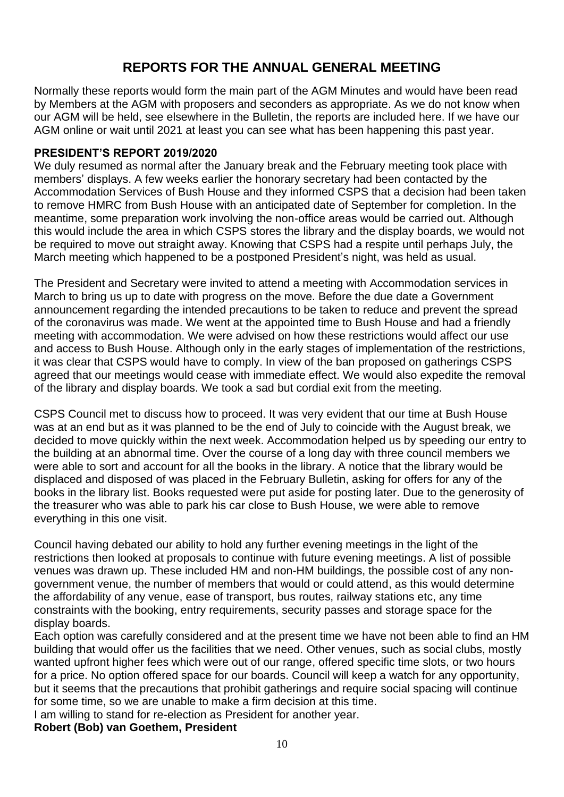## **REPORTS FOR THE ANNUAL GENERAL MEETING**

Normally these reports would form the main part of the AGM Minutes and would have been read by Members at the AGM with proposers and seconders as appropriate. As we do not know when our AGM will be held, see elsewhere in the Bulletin, the reports are included here. If we have our AGM online or wait until 2021 at least you can see what has been happening this past year.

#### **PRESIDENT'S REPORT 2019/2020**

We duly resumed as normal after the January break and the February meeting took place with members' displays. A few weeks earlier the honorary secretary had been contacted by the Accommodation Services of Bush House and they informed CSPS that a decision had been taken to remove HMRC from Bush House with an anticipated date of September for completion. In the meantime, some preparation work involving the non-office areas would be carried out. Although this would include the area in which CSPS stores the library and the display boards, we would not be required to move out straight away. Knowing that CSPS had a respite until perhaps July, the March meeting which happened to be a postponed President's night, was held as usual.

The President and Secretary were invited to attend a meeting with Accommodation services in March to bring us up to date with progress on the move. Before the due date a Government announcement regarding the intended precautions to be taken to reduce and prevent the spread of the coronavirus was made. We went at the appointed time to Bush House and had a friendly meeting with accommodation. We were advised on how these restrictions would affect our use and access to Bush House. Although only in the early stages of implementation of the restrictions, it was clear that CSPS would have to comply. In view of the ban proposed on gatherings CSPS agreed that our meetings would cease with immediate effect. We would also expedite the removal of the library and display boards. We took a sad but cordial exit from the meeting.

CSPS Council met to discuss how to proceed. It was very evident that our time at Bush House was at an end but as it was planned to be the end of July to coincide with the August break, we decided to move quickly within the next week. Accommodation helped us by speeding our entry to the building at an abnormal time. Over the course of a long day with three council members we were able to sort and account for all the books in the library. A notice that the library would be displaced and disposed of was placed in the February Bulletin, asking for offers for any of the books in the library list. Books requested were put aside for posting later. Due to the generosity of the treasurer who was able to park his car close to Bush House, we were able to remove everything in this one visit.

Council having debated our ability to hold any further evening meetings in the light of the restrictions then looked at proposals to continue with future evening meetings. A list of possible venues was drawn up. These included HM and non-HM buildings, the possible cost of any nongovernment venue, the number of members that would or could attend, as this would determine the affordability of any venue, ease of transport, bus routes, railway stations etc, any time constraints with the booking, entry requirements, security passes and storage space for the display boards.

Each option was carefully considered and at the present time we have not been able to find an HM building that would offer us the facilities that we need. Other venues, such as social clubs, mostly wanted upfront higher fees which were out of our range, offered specific time slots, or two hours for a price. No option offered space for our boards. Council will keep a watch for any opportunity, but it seems that the precautions that prohibit gatherings and require social spacing will continue for some time, so we are unable to make a firm decision at this time.

I am willing to stand for re-election as President for another year.

#### **Robert (Bob) van Goethem, President**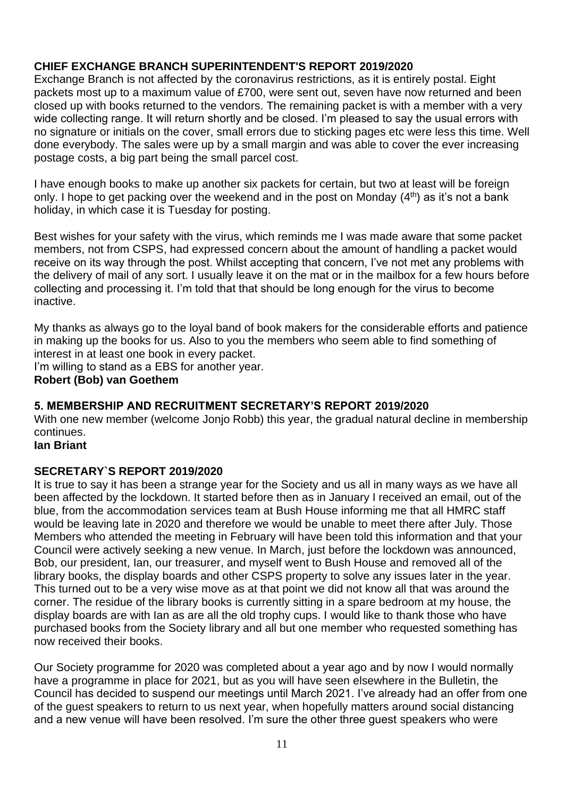## **CHIEF EXCHANGE BRANCH SUPERINTENDENT'S REPORT 2019/2020**

Exchange Branch is not affected by the coronavirus restrictions, as it is entirely postal. Eight packets most up to a maximum value of £700, were sent out, seven have now returned and been closed up with books returned to the vendors. The remaining packet is with a member with a very wide collecting range. It will return shortly and be closed. I'm pleased to say the usual errors with no signature or initials on the cover, small errors due to sticking pages etc were less this time. Well done everybody. The sales were up by a small margin and was able to cover the ever increasing postage costs, a big part being the small parcel cost.

I have enough books to make up another six packets for certain, but two at least will be foreign only. I hope to get packing over the weekend and in the post on Monday  $(4<sup>th</sup>)$  as it's not a bank holiday, in which case it is Tuesday for posting.

Best wishes for your safety with the virus, which reminds me I was made aware that some packet members, not from CSPS, had expressed concern about the amount of handling a packet would receive on its way through the post. Whilst accepting that concern, I've not met any problems with the delivery of mail of any sort. I usually leave it on the mat or in the mailbox for a few hours before collecting and processing it. I'm told that that should be long enough for the virus to become inactive.

My thanks as always go to the loyal band of book makers for the considerable efforts and patience in making up the books for us. Also to you the members who seem able to find something of interest in at least one book in every packet.

I'm willing to stand as a EBS for another year. **Robert (Bob) van Goethem**

## **5. MEMBERSHIP AND RECRUITMENT SECRETARY'S REPORT 2019/2020**

With one new member (welcome Jonjo Robb) this year, the gradual natural decline in membership continues.

#### **Ian Briant**

#### **SECRETARY`S REPORT 2019/2020**

It is true to say it has been a strange year for the Society and us all in many ways as we have all been affected by the lockdown. It started before then as in January I received an email, out of the blue, from the accommodation services team at Bush House informing me that all HMRC staff would be leaving late in 2020 and therefore we would be unable to meet there after July. Those Members who attended the meeting in February will have been told this information and that your Council were actively seeking a new venue. In March, just before the lockdown was announced, Bob, our president, Ian, our treasurer, and myself went to Bush House and removed all of the library books, the display boards and other CSPS property to solve any issues later in the year. This turned out to be a very wise move as at that point we did not know all that was around the corner. The residue of the library books is currently sitting in a spare bedroom at my house, the display boards are with Ian as are all the old trophy cups. I would like to thank those who have purchased books from the Society library and all but one member who requested something has now received their books.

Our Society programme for 2020 was completed about a year ago and by now I would normally have a programme in place for 2021, but as you will have seen elsewhere in the Bulletin, the Council has decided to suspend our meetings until March 2021. I've already had an offer from one of the guest speakers to return to us next year, when hopefully matters around social distancing and a new venue will have been resolved. I'm sure the other three guest speakers who were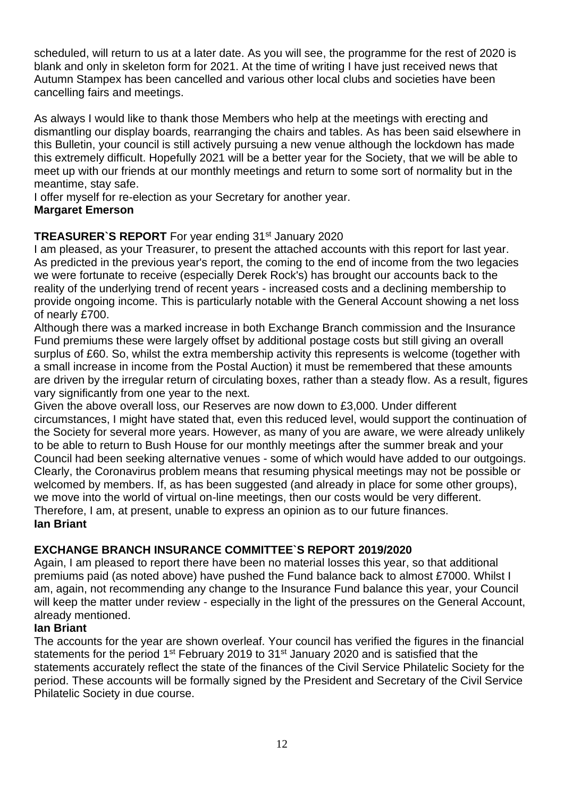scheduled, will return to us at a later date. As you will see, the programme for the rest of 2020 is blank and only in skeleton form for 2021. At the time of writing I have just received news that Autumn Stampex has been cancelled and various other local clubs and societies have been cancelling fairs and meetings.

As always I would like to thank those Members who help at the meetings with erecting and dismantling our display boards, rearranging the chairs and tables. As has been said elsewhere in this Bulletin, your council is still actively pursuing a new venue although the lockdown has made this extremely difficult. Hopefully 2021 will be a better year for the Society, that we will be able to meet up with our friends at our monthly meetings and return to some sort of normality but in the meantime, stay safe.

I offer myself for re-election as your Secretary for another year.

#### **Margaret Emerson**

## **TREASURER`S REPORT** For year ending 31<sup>st</sup> January 2020

I am pleased, as your Treasurer, to present the attached accounts with this report for last year. As predicted in the previous year's report, the coming to the end of income from the two legacies we were fortunate to receive (especially Derek Rock's) has brought our accounts back to the reality of the underlying trend of recent years - increased costs and a declining membership to provide ongoing income. This is particularly notable with the General Account showing a net loss of nearly £700.

Although there was a marked increase in both Exchange Branch commission and the Insurance Fund premiums these were largely offset by additional postage costs but still giving an overall surplus of £60. So, whilst the extra membership activity this represents is welcome (together with a small increase in income from the Postal Auction) it must be remembered that these amounts are driven by the irregular return of circulating boxes, rather than a steady flow. As a result, figures vary significantly from one year to the next.

Given the above overall loss, our Reserves are now down to £3,000. Under different circumstances, I might have stated that, even this reduced level, would support the continuation of the Society for several more years. However, as many of you are aware, we were already unlikely to be able to return to Bush House for our monthly meetings after the summer break and your Council had been seeking alternative venues - some of which would have added to our outgoings. Clearly, the Coronavirus problem means that resuming physical meetings may not be possible or welcomed by members. If, as has been suggested (and already in place for some other groups), we move into the world of virtual on-line meetings, then our costs would be very different. Therefore, I am, at present, unable to express an opinion as to our future finances. **Ian Briant**

## **EXCHANGE BRANCH INSURANCE COMMITTEE`S REPORT 2019/2020**

Again, I am pleased to report there have been no material losses this year, so that additional premiums paid (as noted above) have pushed the Fund balance back to almost £7000. Whilst I am, again, not recommending any change to the Insurance Fund balance this year, your Council will keep the matter under review - especially in the light of the pressures on the General Account, already mentioned.

#### **Ian Briant**

The accounts for the year are shown overleaf. Your council has verified the figures in the financial statements for the period 1<sup>st</sup> February 2019 to 31<sup>st</sup> January 2020 and is satisfied that the statements accurately reflect the state of the finances of the Civil Service Philatelic Society for the period. These accounts will be formally signed by the President and Secretary of the Civil Service Philatelic Society in due course.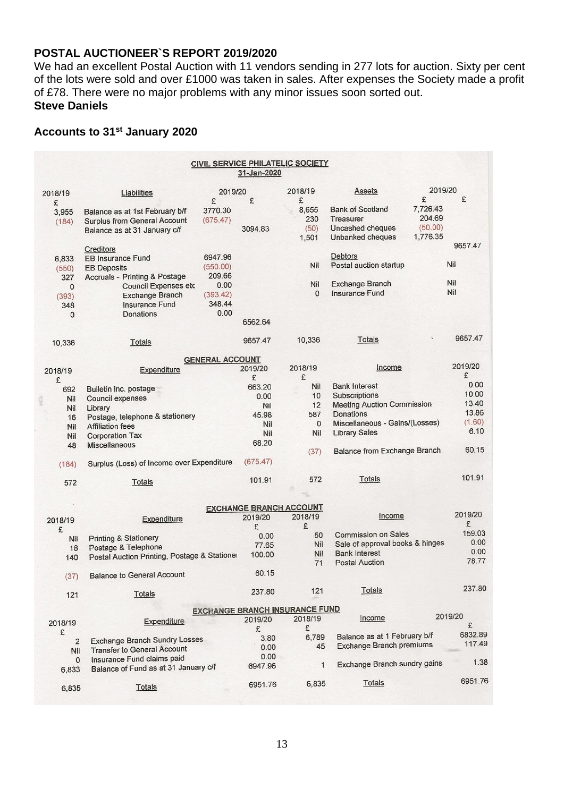#### **POSTAL AUCTIONEER`S REPORT 2019/2020**

We had an excellent Postal Auction with 11 vendors sending in 277 lots for auction. Sixty per cent of the lots were sold and over £1000 was taken in sales. After expenses the Society made a profit of £78. There were no major problems with any minor issues soon sorted out. **Steve Daniels**

## **Accounts to 31st January 2020**

|                |                                                                            |                        | 31-Jan-2020                    | <b>CIVIL SERVICE PHILATELIC SOCIETY</b> |                                     |          |         |
|----------------|----------------------------------------------------------------------------|------------------------|--------------------------------|-----------------------------------------|-------------------------------------|----------|---------|
| 2018/19        | Liabilities                                                                | 2019/20                | 2018/19                        |                                         | <b>Assets</b>                       | 2019/20  |         |
| £              |                                                                            | £                      | £                              | £                                       |                                     | £        | £       |
| 3,955          | Balance as at 1st February b/f                                             | 3770.30                |                                | 8,655                                   | <b>Bank of Scotland</b>             | 7,726.43 |         |
| (184)          | <b>Surplus from General Account</b>                                        | (675.47)               |                                | 230                                     | Treasurer                           | 204.69   |         |
|                | Balance as at 31 January c/f                                               |                        | 3094.83                        | (50)                                    | Uncashed cheques                    | (50.00)  |         |
|                |                                                                            |                        |                                | 1,501                                   | Unbanked cheques                    | 1,776.35 | 9657.47 |
|                | Creditors                                                                  | 6947.96                |                                |                                         | <b>Debtors</b>                      |          |         |
| 6,833          | <b>EB Insurance Fund</b>                                                   | (550.00)               |                                | Nil                                     | Postal auction startup              |          | Nil     |
| (550)          | <b>EB Deposits</b>                                                         | 209.66                 |                                |                                         |                                     |          |         |
| 327            | <b>Accruals - Printing &amp; Postage</b>                                   | 0.00                   |                                | Nil                                     | <b>Exchange Branch</b>              |          | Nil     |
| $\mathbf{0}$   | <b>Council Expenses etc</b>                                                | (393.42)               |                                | $\Omega$                                | Insurance Fund                      |          | Nil     |
| (393)          | <b>Exchange Branch</b>                                                     | 348.44                 |                                |                                         |                                     |          |         |
| 348            | Insurance Fund                                                             | 0.00                   |                                |                                         |                                     |          |         |
| 0              | Donations                                                                  |                        | 6562.64                        |                                         |                                     |          |         |
|                |                                                                            |                        |                                |                                         | Totals                              |          | 9657.47 |
| 10,336         | Totals                                                                     |                        | 9657.47                        | 10,336                                  |                                     |          |         |
|                |                                                                            | <b>GENERAL ACCOUNT</b> |                                |                                         |                                     |          |         |
| 2018/19        | Expenditure                                                                |                        | 2019/20                        | 2018/19                                 | Income                              |          | 2019/20 |
| £              |                                                                            |                        | £                              | £                                       |                                     |          | £       |
| 692            | Bulletin inc. postage                                                      |                        | 663.20                         | Nil                                     | <b>Bank Interest</b>                |          | 0.00    |
| <b>Nil</b>     | Council expenses                                                           |                        | 0.00                           | 10                                      | Subscriptions                       |          | 10.00   |
| Nil            | Library                                                                    |                        | Nil                            | 12                                      | <b>Meeting Auction Commission</b>   |          | 13.40   |
| 16             | Postage, telephone & stationery                                            |                        | 45.98                          | 587                                     | Donations                           |          | 13.86   |
| Nil            | <b>Affiliation fees</b>                                                    |                        | Nil                            | $\mathbf 0$                             | Miscellaneous - Gains/(Losses)      |          | (1.60)  |
| Nil            | <b>Corporation Tax</b>                                                     |                        | Nil                            | Nil                                     | <b>Library Sales</b>                |          | 6.10    |
| 48             | <b>Miscellaneous</b>                                                       |                        | 68.20                          |                                         |                                     |          |         |
|                |                                                                            |                        |                                | (37)                                    | <b>Balance from Exchange Branch</b> |          | 60.15   |
| (184)          | Surplus (Loss) of Income over Expenditure                                  |                        | (675.47)                       |                                         |                                     |          |         |
| 572            | Totals                                                                     |                        | 101.91                         | 572                                     | Totals                              |          | 101.91  |
|                |                                                                            |                        |                                |                                         |                                     |          |         |
|                |                                                                            |                        | <b>EXCHANGE BRANCH ACCOUNT</b> |                                         |                                     |          |         |
| 2018/19        | Expenditure                                                                |                        | 2019/20                        | 2018/19                                 | Income                              |          | 2019/20 |
| £              |                                                                            |                        | £                              | £                                       |                                     |          | £       |
| Nil            | <b>Printing &amp; Stationery</b>                                           |                        | 0.00                           | 50                                      | Commission on Sales                 |          | 159.03  |
| 18             | Postage & Telephone                                                        |                        | 77.65                          | Nil                                     | Sale of approval books & hinges     |          | 0.00    |
| 140            | Postal Auction Printing, Postage & Stationer                               |                        | 100.00                         | Nil                                     | <b>Bank Interest</b>                |          | 0.00    |
|                |                                                                            |                        |                                | 71                                      | <b>Postal Auction</b>               |          | 78.77   |
| (37)           | <b>Balance to General Account</b>                                          |                        | 60.15                          |                                         |                                     |          |         |
| 121            | <b>Totals</b>                                                              |                        | 237.80                         | 121                                     | Totals                              |          | 237.80  |
|                |                                                                            |                        |                                | <b>EXCHANGE BRANCH INSURANCE FUND</b>   |                                     |          |         |
|                |                                                                            |                        | 2019/20                        | 2018/19                                 | Income                              |          | 2019/20 |
| 2018/19        | Expenditure                                                                |                        | £                              | £                                       |                                     |          | £       |
| £              |                                                                            |                        | 3.80                           | 6,789                                   | Balance as at 1 February b/f        |          | 6832.89 |
| $\overline{2}$ | <b>Exchange Branch Sundry Losses</b><br><b>Transfer to General Account</b> |                        | 0.00                           | 45                                      | <b>Exchange Branch premiums</b>     |          | 117.49  |
| Nil            |                                                                            |                        | 0.00                           |                                         |                                     |          |         |
| $\Omega$       | Insurance Fund claims paid                                                 |                        | 6947.96                        | $\mathbf{1}$                            | <b>Exchange Branch sundry gains</b> |          | 1.38    |
| 6,833          | Balance of Fund as at 31 January c/f                                       |                        |                                |                                         |                                     |          |         |
| 6,835          | <b>Totals</b>                                                              |                        | 6951.76                        | 6,835                                   | Totals                              |          | 6951.76 |
|                |                                                                            |                        |                                |                                         |                                     |          |         |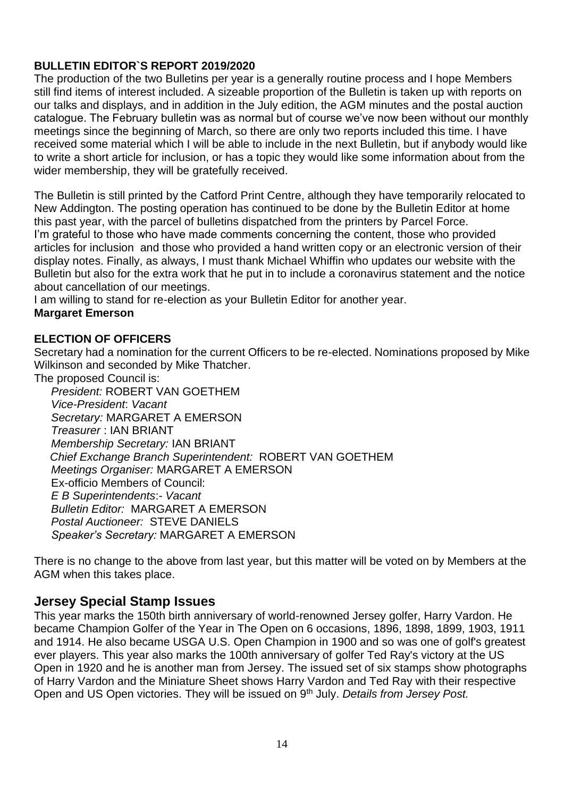#### **BULLETIN EDITOR`S REPORT 2019/2020**

The production of the two Bulletins per year is a generally routine process and I hope Members still find items of interest included. A sizeable proportion of the Bulletin is taken up with reports on our talks and displays, and in addition in the July edition, the AGM minutes and the postal auction catalogue. The February bulletin was as normal but of course we've now been without our monthly meetings since the beginning of March, so there are only two reports included this time. I have received some material which I will be able to include in the next Bulletin, but if anybody would like to write a short article for inclusion, or has a topic they would like some information about from the wider membership, they will be gratefully received.

The Bulletin is still printed by the Catford Print Centre, although they have temporarily relocated to New Addington. The posting operation has continued to be done by the Bulletin Editor at home this past year, with the parcel of bulletins dispatched from the printers by Parcel Force. I'm grateful to those who have made comments concerning the content, those who provided articles for inclusion and those who provided a hand written copy or an electronic version of their display notes. Finally, as always, I must thank Michael Whiffin who updates our website with the Bulletin but also for the extra work that he put in to include a coronavirus statement and the notice about cancellation of our meetings.

I am willing to stand for re-election as your Bulletin Editor for another year.

#### **Margaret Emerson**

## **ELECTION OF OFFICERS**

Secretary had a nomination for the current Officers to be re-elected. Nominations proposed by Mike Wilkinson and seconded by Mike Thatcher.

The proposed Council is:

*President:* ROBERT VAN GOETHEM *Vice-President*: *Vacant Secretary:* MARGARET A EMERSON *Treasurer* : IAN BRIANT *Membership Secretary:* IAN BRIANT  *Chief Exchange Branch Superintendent:* ROBERT VAN GOETHEM *Meetings Organiser:* MARGARET A EMERSON Ex-officio Members of Council: *E B Superintendents*:- *Vacant Bulletin Editor:* MARGARET A EMERSON *Postal Auctioneer:* STEVE DANIELS *Speaker's Secretary:* MARGARET A EMERSON

There is no change to the above from last year, but this matter will be voted on by Members at the AGM when this takes place.

## **Jersey Special Stamp Issues**

This year marks the 150th birth anniversary of world-renowned Jersey golfer, Harry Vardon. He became Champion Golfer of the Year in The Open on 6 occasions, 1896, 1898, 1899, 1903, 1911 and 1914. He also became USGA U.S. Open Champion in 1900 and so was one of golf's greatest ever players. This year also marks the 100th anniversary of golfer Ted Ray's victory at the US Open in 1920 and he is another man from Jersey. The issued set of six stamps show photographs of Harry Vardon and the Miniature Sheet shows Harry Vardon and Ted Ray with their respective Open and US Open victories. They will be issued on 9<sup>th</sup> July. *Details from Jersey Post.*